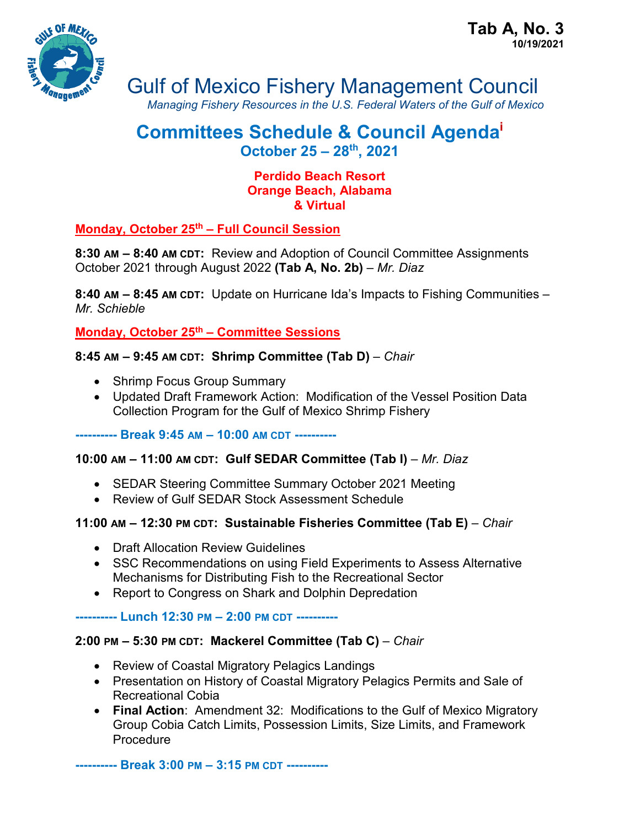

# Gulf of Mexico Fishery Management Council

*Managing Fishery Resources in the U.S. Federal Waters of the Gulf of Mexico*

# **Committees Schedule & Council Agendai October 25 – 28th, 2021**

#### **Perdido Beach Resort Orange Beach, Alabama & Virtual**

# **Monday, October 25th – Full Council Session**

**8:30 AM – 8:40 AM CDT:** Review and Adoption of Council Committee Assignments October 2021 through August 2022 **(Tab A, No. 2b)** – *Mr. Diaz*

**8:40 AM – 8:45 AM CDT:** Update on Hurricane Ida's Impacts to Fishing Communities – *Mr. Schieble*

**Monday, October 25th – Committee Sessions**

# **8:45 AM – 9:45 AM CDT: Shrimp Committee (Tab D)** – *Chair*

- Shrimp Focus Group Summary
- Updated Draft Framework Action: Modification of the Vessel Position Data Collection Program for the Gulf of Mexico Shrimp Fishery

**---------- Break 9:45 AM – 10:00 AM CDT ----------**

# **10:00 AM – 11:00 AM CDT: Gulf SEDAR Committee (Tab I)** – *Mr. Diaz*

- SEDAR Steering Committee Summary October 2021 Meeting
- Review of Gulf SEDAR Stock Assessment Schedule

#### **11:00 AM – 12:30 PM CDT: Sustainable Fisheries Committee (Tab E)** – *Chair*

- Draft Allocation Review Guidelines
- SSC Recommendations on using Field Experiments to Assess Alternative Mechanisms for Distributing Fish to the Recreational Sector
- Report to Congress on Shark and Dolphin Depredation

#### **---------- Lunch 12:30 PM – 2:00 PM CDT ----------**

# **2:00 PM – 5:30 PM CDT: Mackerel Committee (Tab C)** – *Chair*

- Review of Coastal Migratory Pelagics Landings
- Presentation on History of Coastal Migratory Pelagics Permits and Sale of Recreational Cobia
- **Final Action**: Amendment 32: Modifications to the Gulf of Mexico Migratory Group Cobia Catch Limits, Possession Limits, Size Limits, and Framework Procedure

**---------- Break 3:00 PM – 3:15 PM CDT ----------**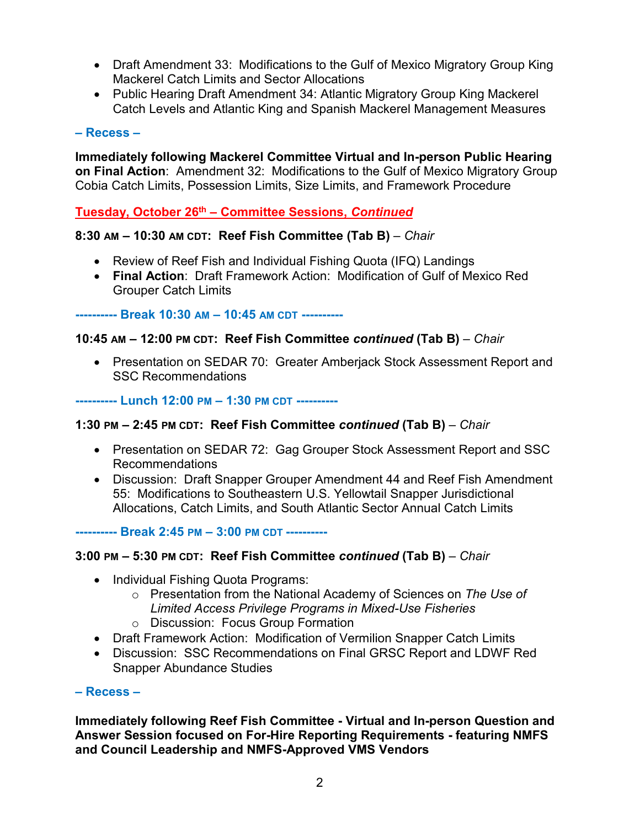- Draft Amendment 33: Modifications to the Gulf of Mexico Migratory Group King Mackerel Catch Limits and Sector Allocations
- Public Hearing Draft Amendment 34: Atlantic Migratory Group King Mackerel Catch Levels and Atlantic King and Spanish Mackerel Management Measures

#### **– Recess –**

**Immediately following Mackerel Committee Virtual and In-person Public Hearing on Final Action**: Amendment 32: Modifications to the Gulf of Mexico Migratory Group Cobia Catch Limits, Possession Limits, Size Limits, and Framework Procedure

**Tuesday, October 26th – Committee Sessions,** *Continued*

# **8:30 AM – 10:30 AM CDT: Reef Fish Committee (Tab B)** – *Chair*

- Review of Reef Fish and Individual Fishing Quota (IFQ) Landings
- **Final Action**: Draft Framework Action: Modification of Gulf of Mexico Red Grouper Catch Limits

**---------- Break 10:30 AM – 10:45 AM CDT ----------**

#### **10:45 AM – 12:00 PM CDT: Reef Fish Committee** *continued* **(Tab B)** – *Chair*

• Presentation on SEDAR 70: Greater Amberjack Stock Assessment Report and SSC Recommendations

**---------- Lunch 12:00 PM – 1:30 PM CDT ----------**

#### **1:30 PM – 2:45 PM CDT: Reef Fish Committee** *continued* **(Tab B)** – *Chair*

- Presentation on SEDAR 72: Gag Grouper Stock Assessment Report and SSC Recommendations
- Discussion: Draft Snapper Grouper Amendment 44 and Reef Fish Amendment 55: Modifications to Southeastern U.S. Yellowtail Snapper Jurisdictional Allocations, Catch Limits, and South Atlantic Sector Annual Catch Limits

**---------- Break 2:45 PM – 3:00 PM CDT ----------**

#### **3:00 PM – 5:30 PM CDT: Reef Fish Committee** *continued* **(Tab B)** – *Chair*

- Individual Fishing Quota Programs:
	- o Presentation from the National Academy of Sciences on *The Use of Limited Access Privilege Programs in Mixed-Use Fisheries*
	- o Discussion: Focus Group Formation
- Draft Framework Action: Modification of Vermilion Snapper Catch Limits
- Discussion: SSC Recommendations on Final GRSC Report and LDWF Red Snapper Abundance Studies

#### **– Recess –**

**Immediately following Reef Fish Committee - Virtual and In-person Question and Answer Session focused on For-Hire Reporting Requirements - featuring NMFS and Council Leadership and NMFS-Approved VMS Vendors**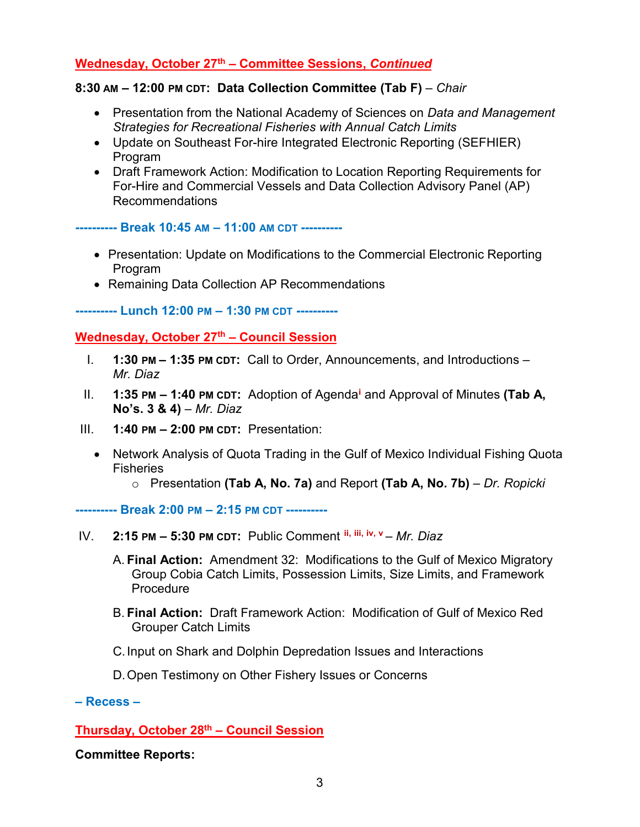# **Wednesday, October 27th – Committee Sessions,** *Continued*

#### **8:30 AM – 12:00 PM CDT: Data Collection Committee (Tab F)** – *Chair*

- Presentation from the National Academy of Sciences on *Data and Management Strategies for Recreational Fisheries with Annual Catch Limits*
- Update on Southeast For-hire Integrated Electronic Reporting (SEFHIER) Program
- Draft Framework Action: Modification to Location Reporting Requirements for For-Hire and Commercial Vessels and Data Collection Advisory Panel (AP) Recommendations

**---------- Break 10:45 AM – 11:00 AM CDT ----------**

- Presentation: Update on Modifications to the Commercial Electronic Reporting Program
- Remaining Data Collection AP Recommendations

**---------- Lunch 12:00 PM – 1:30 PM CDT ----------**

#### **Wednesday, October 27th – Council Session**

- I. **1:30 PM – 1:35 PM CDT:** Call to Order, Announcements, and Introductions *Mr. Diaz*
- II. **1:35 PM – 1:40 PM CDT:** Adoption of Agenda**[i](#page-3-0)** and Approval of Minutes **(Tab A, No's. 3 & 4)** – *Mr. Diaz*
- III. **1:40 PM – 2:00 PM CDT:** Presentation:
	- Network Analysis of Quota Trading in the Gulf of Mexico Individual Fishing Quota **Fisheries** 
		- o Presentation **(Tab A, No. 7a)** and Report **(Tab A, No. 7b)** *Dr. Ropicki*

**---------- Break 2:00 PM – 2:15 PM CDT ----------**

- IV. **2:15 PM – 5:30 PM CDT:** Public Comment **[ii,](#page-3-1) [iii,](#page-3-2) [iv](#page-3-3), [v](#page-3-4)** *Mr. Diaz*
	- A. **Final Action:** Amendment 32: Modifications to the Gulf of Mexico Migratory Group Cobia Catch Limits, Possession Limits, Size Limits, and Framework **Procedure**
	- B. **Final Action:** Draft Framework Action: Modification of Gulf of Mexico Red Grouper Catch Limits
	- C.Input on Shark and Dolphin Depredation Issues and Interactions
	- D.Open Testimony on Other Fishery Issues or Concerns

# **– Recess –**

**Thursday, October 28th – Council Session**

**Committee Reports:**